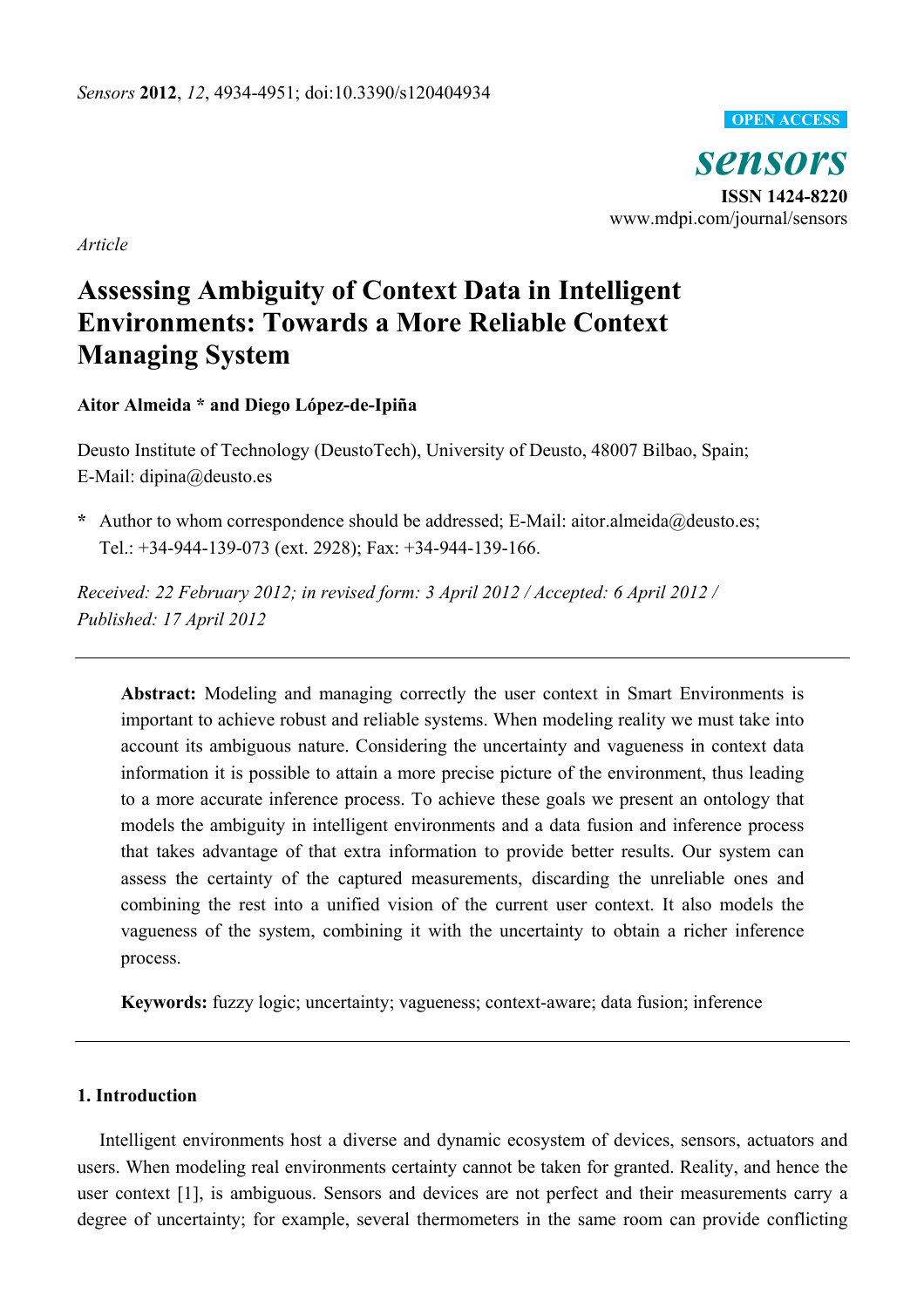

*sensors*  **ISSN 1424-8220**  www.mdpi.com/journal/sensors

*Article* 

# **Assessing Ambiguity of Context Data in Intelligent Environments: Towards a More Reliable Context Managing System**

**Aitor Almeida \* and Diego López-de-Ipiña** 

Deusto Institute of Technology (DeustoTech), University of Deusto, 48007 Bilbao, Spain; E-Mail: dipina@deusto.es

**\*** Author to whom correspondence should be addressed; E-Mail: aitor.almeida@deusto.es; Tel.: +34-944-139-073 (ext. 2928); Fax: +34-944-139-166.

*Received: 22 February 2012; in revised form: 3 April 2012 / Accepted: 6 April 2012 / Published: 17 April 2012* 

**Abstract:** Modeling and managing correctly the user context in Smart Environments is important to achieve robust and reliable systems. When modeling reality we must take into account its ambiguous nature. Considering the uncertainty and vagueness in context data information it is possible to attain a more precise picture of the environment, thus leading to a more accurate inference process. To achieve these goals we present an ontology that models the ambiguity in intelligent environments and a data fusion and inference process that takes advantage of that extra information to provide better results. Our system can assess the certainty of the captured measurements, discarding the unreliable ones and combining the rest into a unified vision of the current user context. It also models the vagueness of the system, combining it with the uncertainty to obtain a richer inference process.

**Keywords:** fuzzy logic; uncertainty; vagueness; context-aware; data fusion; inference

# **1. Introduction**

Intelligent environments host a diverse and dynamic ecosystem of devices, sensors, actuators and users. When modeling real environments certainty cannot be taken for granted. Reality, and hence the user context [1], is ambiguous. Sensors and devices are not perfect and their measurements carry a degree of uncertainty; for example, several thermometers in the same room can provide conflicting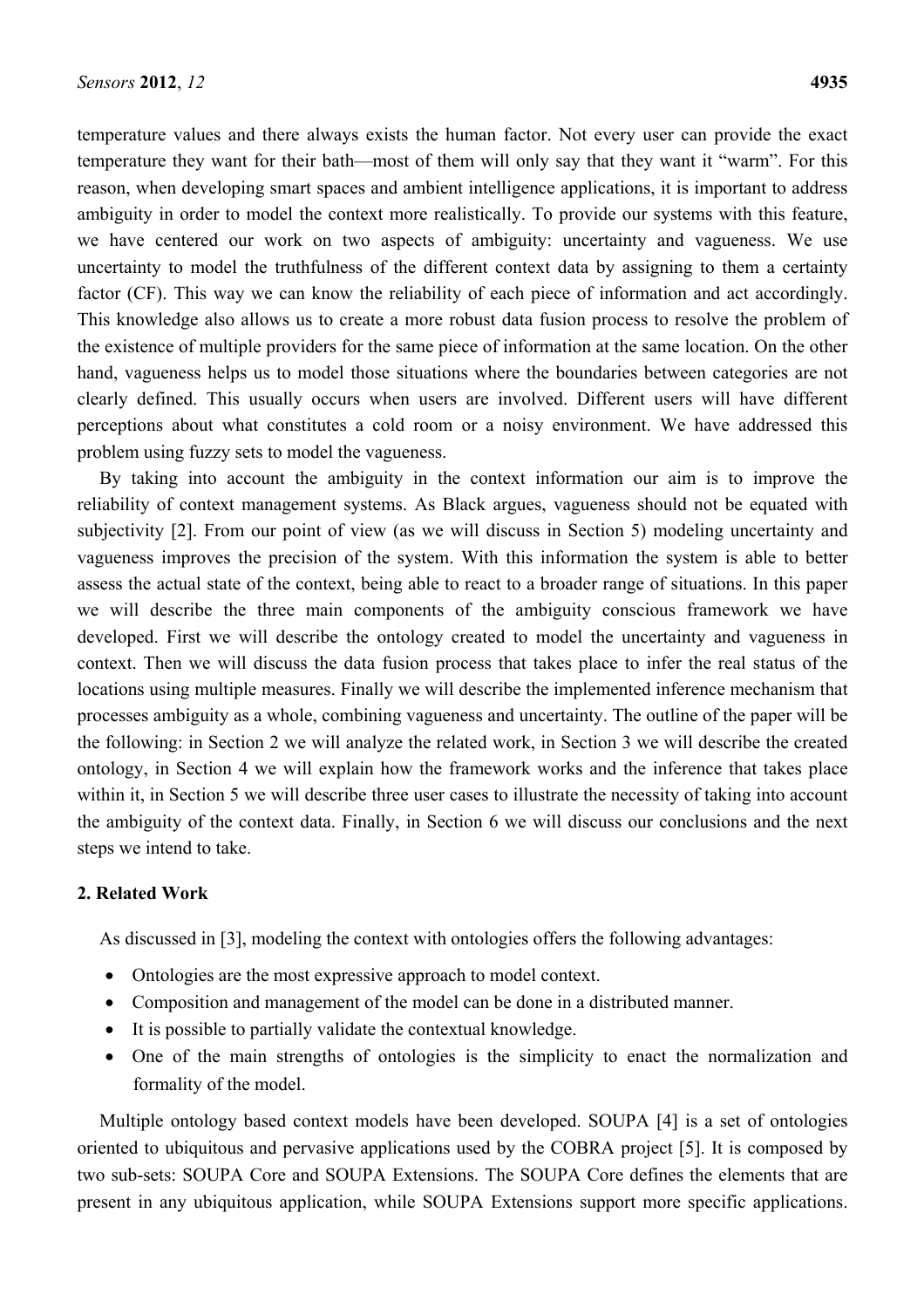temperature values and there always exists the human factor. Not every user can provide the exact temperature they want for their bath—most of them will only say that they want it "warm". For this reason, when developing smart spaces and ambient intelligence applications, it is important to address ambiguity in order to model the context more realistically. To provide our systems with this feature, we have centered our work on two aspects of ambiguity: uncertainty and vagueness. We use uncertainty to model the truthfulness of the different context data by assigning to them a certainty factor (CF). This way we can know the reliability of each piece of information and act accordingly. This knowledge also allows us to create a more robust data fusion process to resolve the problem of the existence of multiple providers for the same piece of information at the same location. On the other hand, vagueness helps us to model those situations where the boundaries between categories are not clearly defined. This usually occurs when users are involved. Different users will have different perceptions about what constitutes a cold room or a noisy environment. We have addressed this problem using fuzzy sets to model the vagueness.

By taking into account the ambiguity in the context information our aim is to improve the reliability of context management systems. As Black argues, vagueness should not be equated with subjectivity [2]. From our point of view (as we will discuss in Section 5) modeling uncertainty and vagueness improves the precision of the system. With this information the system is able to better assess the actual state of the context, being able to react to a broader range of situations. In this paper we will describe the three main components of the ambiguity conscious framework we have developed. First we will describe the ontology created to model the uncertainty and vagueness in context. Then we will discuss the data fusion process that takes place to infer the real status of the locations using multiple measures. Finally we will describe the implemented inference mechanism that processes ambiguity as a whole, combining vagueness and uncertainty. The outline of the paper will be the following: in Section 2 we will analyze the related work, in Section 3 we will describe the created ontology, in Section 4 we will explain how the framework works and the inference that takes place within it, in Section 5 we will describe three user cases to illustrate the necessity of taking into account the ambiguity of the context data. Finally, in Section 6 we will discuss our conclusions and the next steps we intend to take.

## **2. Related Work**

As discussed in [3], modeling the context with ontologies offers the following advantages:

- Ontologies are the most expressive approach to model context.
- Composition and management of the model can be done in a distributed manner.
- It is possible to partially validate the contextual knowledge.
- One of the main strengths of ontologies is the simplicity to enact the normalization and formality of the model.

Multiple ontology based context models have been developed. SOUPA [4] is a set of ontologies oriented to ubiquitous and pervasive applications used by the COBRA project [5]. It is composed by two sub-sets: SOUPA Core and SOUPA Extensions. The SOUPA Core defines the elements that are present in any ubiquitous application, while SOUPA Extensions support more specific applications.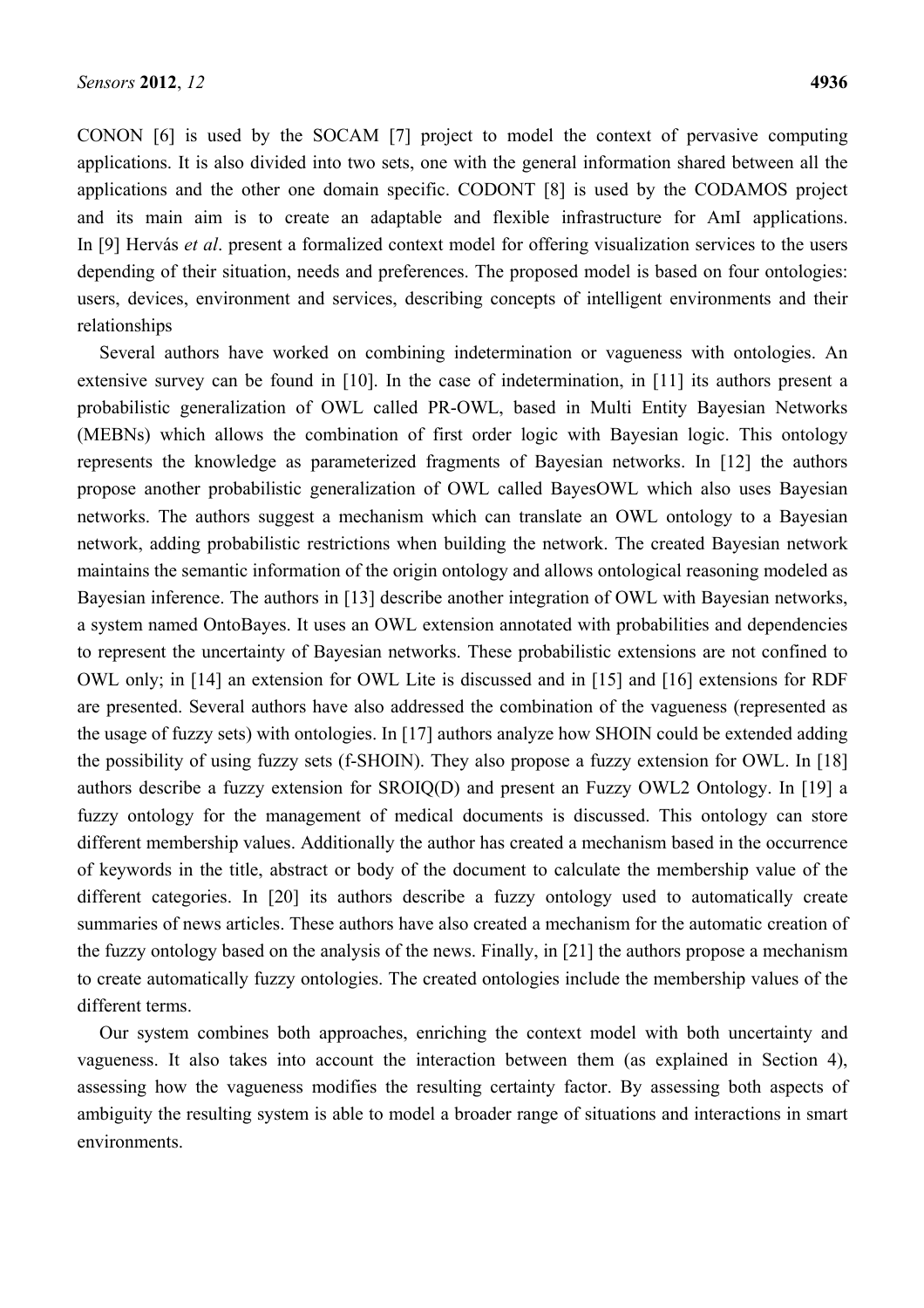CONON [6] is used by the SOCAM [7] project to model the context of pervasive computing applications. It is also divided into two sets, one with the general information shared between all the applications and the other one domain specific. CODONT [8] is used by the CODAMOS project and its main aim is to create an adaptable and flexible infrastructure for AmI applications. In [9] Hervás *et al*. present a formalized context model for offering visualization services to the users depending of their situation, needs and preferences. The proposed model is based on four ontologies: users, devices, environment and services, describing concepts of intelligent environments and their relationships

Several authors have worked on combining indetermination or vagueness with ontologies. An extensive survey can be found in [10]. In the case of indetermination, in [11] its authors present a probabilistic generalization of OWL called PR-OWL, based in Multi Entity Bayesian Networks (MEBNs) which allows the combination of first order logic with Bayesian logic. This ontology represents the knowledge as parameterized fragments of Bayesian networks. In [12] the authors propose another probabilistic generalization of OWL called BayesOWL which also uses Bayesian networks. The authors suggest a mechanism which can translate an OWL ontology to a Bayesian network, adding probabilistic restrictions when building the network. The created Bayesian network maintains the semantic information of the origin ontology and allows ontological reasoning modeled as Bayesian inference. The authors in [13] describe another integration of OWL with Bayesian networks, a system named OntoBayes. It uses an OWL extension annotated with probabilities and dependencies to represent the uncertainty of Bayesian networks. These probabilistic extensions are not confined to OWL only; in [14] an extension for OWL Lite is discussed and in [15] and [16] extensions for RDF are presented. Several authors have also addressed the combination of the vagueness (represented as the usage of fuzzy sets) with ontologies. In [17] authors analyze how SHOIN could be extended adding the possibility of using fuzzy sets (f-SHOIN). They also propose a fuzzy extension for OWL. In [18] authors describe a fuzzy extension for SROIQ(D) and present an Fuzzy OWL2 Ontology. In [19] a fuzzy ontology for the management of medical documents is discussed. This ontology can store different membership values. Additionally the author has created a mechanism based in the occurrence of keywords in the title, abstract or body of the document to calculate the membership value of the different categories. In [20] its authors describe a fuzzy ontology used to automatically create summaries of news articles. These authors have also created a mechanism for the automatic creation of the fuzzy ontology based on the analysis of the news. Finally, in [21] the authors propose a mechanism to create automatically fuzzy ontologies. The created ontologies include the membership values of the different terms.

Our system combines both approaches, enriching the context model with both uncertainty and vagueness. It also takes into account the interaction between them (as explained in Section 4), assessing how the vagueness modifies the resulting certainty factor. By assessing both aspects of ambiguity the resulting system is able to model a broader range of situations and interactions in smart environments.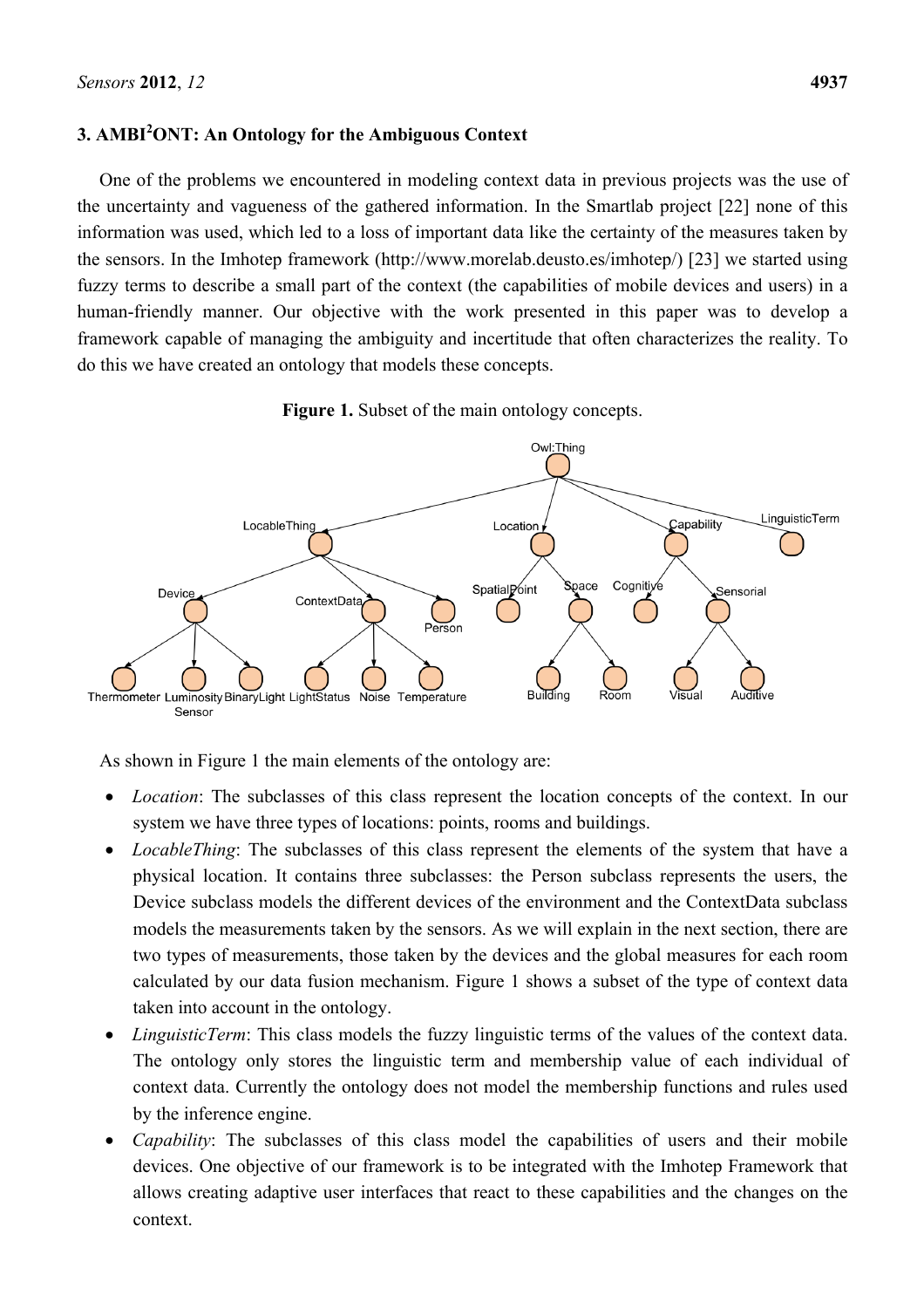# **3. AMBI<sup>2</sup> ONT: An Ontology for the Ambiguous Context**

One of the problems we encountered in modeling context data in previous projects was the use of the uncertainty and vagueness of the gathered information. In the Smartlab project [22] none of this information was used, which led to a loss of important data like the certainty of the measures taken by the sensors. In the Imhotep framework (http://www.morelab.deusto.es/imhotep/) [23] we started using fuzzy terms to describe a small part of the context (the capabilities of mobile devices and users) in a human-friendly manner. Our objective with the work presented in this paper was to develop a framework capable of managing the ambiguity and incertitude that often characterizes the reality. To do this we have created an ontology that models these concepts.





As shown in Figure 1 the main elements of the ontology are:

- *Location*: The subclasses of this class represent the location concepts of the context. In our system we have three types of locations: points, rooms and buildings.
- *LocableThing*: The subclasses of this class represent the elements of the system that have a physical location. It contains three subclasses: the Person subclass represents the users, the Device subclass models the different devices of the environment and the ContextData subclass models the measurements taken by the sensors. As we will explain in the next section, there are two types of measurements, those taken by the devices and the global measures for each room calculated by our data fusion mechanism. Figure 1 shows a subset of the type of context data taken into account in the ontology.
- *LinguisticTerm*: This class models the fuzzy linguistic terms of the values of the context data. The ontology only stores the linguistic term and membership value of each individual of context data. Currently the ontology does not model the membership functions and rules used by the inference engine.
- *Capability*: The subclasses of this class model the capabilities of users and their mobile devices. One objective of our framework is to be integrated with the Imhotep Framework that allows creating adaptive user interfaces that react to these capabilities and the changes on the context.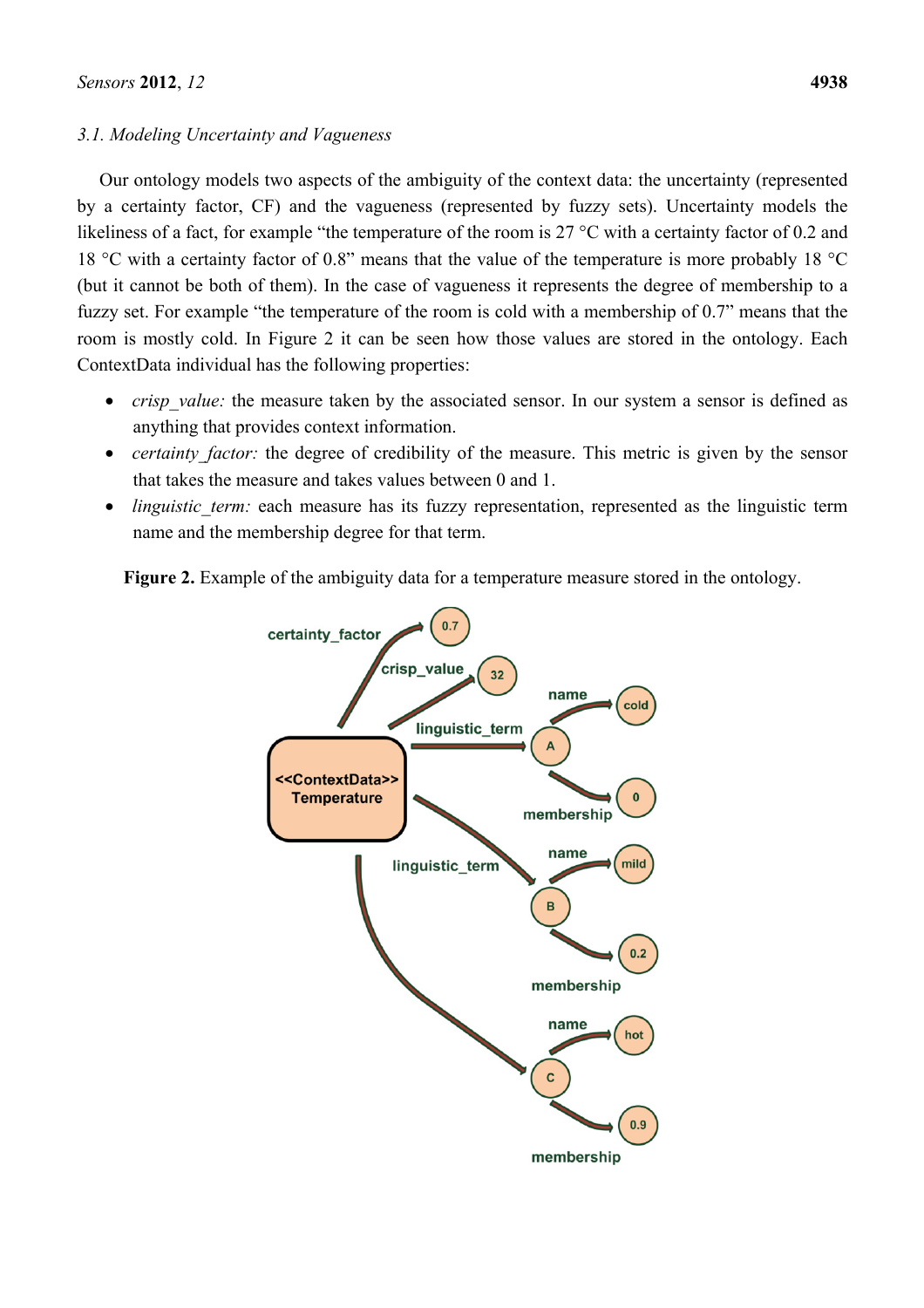# *3.1. Modeling Uncertainty and Vagueness*

Our ontology models two aspects of the ambiguity of the context data: the uncertainty (represented by a certainty factor, CF) and the vagueness (represented by fuzzy sets). Uncertainty models the likeliness of a fact, for example "the temperature of the room is 27 °C with a certainty factor of 0.2 and 18 °C with a certainty factor of 0.8" means that the value of the temperature is more probably 18 °C (but it cannot be both of them). In the case of vagueness it represents the degree of membership to a fuzzy set. For example "the temperature of the room is cold with a membership of 0.7" means that the room is mostly cold. In Figure 2 it can be seen how those values are stored in the ontology. Each ContextData individual has the following properties:

- *crisp* value: the measure taken by the associated sensor. In our system a sensor is defined as anything that provides context information.
- *certainty factor:* the degree of credibility of the measure. This metric is given by the sensor that takes the measure and takes values between 0 and 1.
- *linguistic term:* each measure has its fuzzy representation, represented as the linguistic term name and the membership degree for that term.

**Figure 2.** Example of the ambiguity data for a temperature measure stored in the ontology.

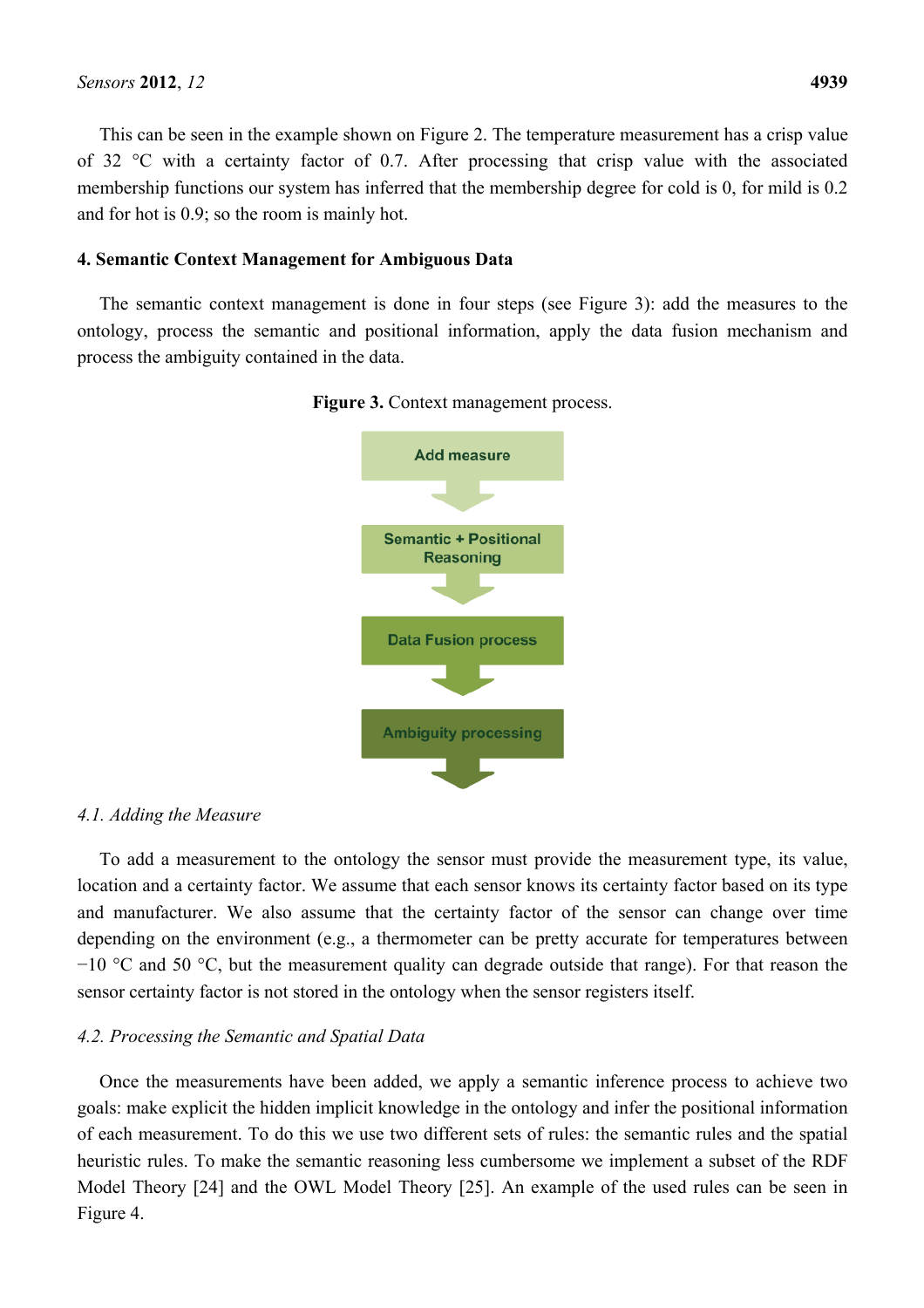This can be seen in the example shown on Figure 2. The temperature measurement has a crisp value of 32 °C with a certainty factor of 0.7. After processing that crisp value with the associated membership functions our system has inferred that the membership degree for cold is 0, for mild is 0.2 and for hot is 0.9; so the room is mainly hot.

#### **4. Semantic Context Management for Ambiguous Data**

The semantic context management is done in four steps (see Figure 3): add the measures to the ontology, process the semantic and positional information, apply the data fusion mechanism and process the ambiguity contained in the data.





#### *4.1. Adding the Measure*

To add a measurement to the ontology the sensor must provide the measurement type, its value, location and a certainty factor. We assume that each sensor knows its certainty factor based on its type and manufacturer. We also assume that the certainty factor of the sensor can change over time depending on the environment (e.g., a thermometer can be pretty accurate for temperatures between −10 °C and 50 °C, but the measurement quality can degrade outside that range). For that reason the sensor certainty factor is not stored in the ontology when the sensor registers itself.

#### *4.2. Processing the Semantic and Spatial Data*

Once the measurements have been added, we apply a semantic inference process to achieve two goals: make explicit the hidden implicit knowledge in the ontology and infer the positional information of each measurement. To do this we use two different sets of rules: the semantic rules and the spatial heuristic rules. To make the semantic reasoning less cumbersome we implement a subset of the RDF Model Theory [24] and the OWL Model Theory [25]. An example of the used rules can be seen in Figure 4.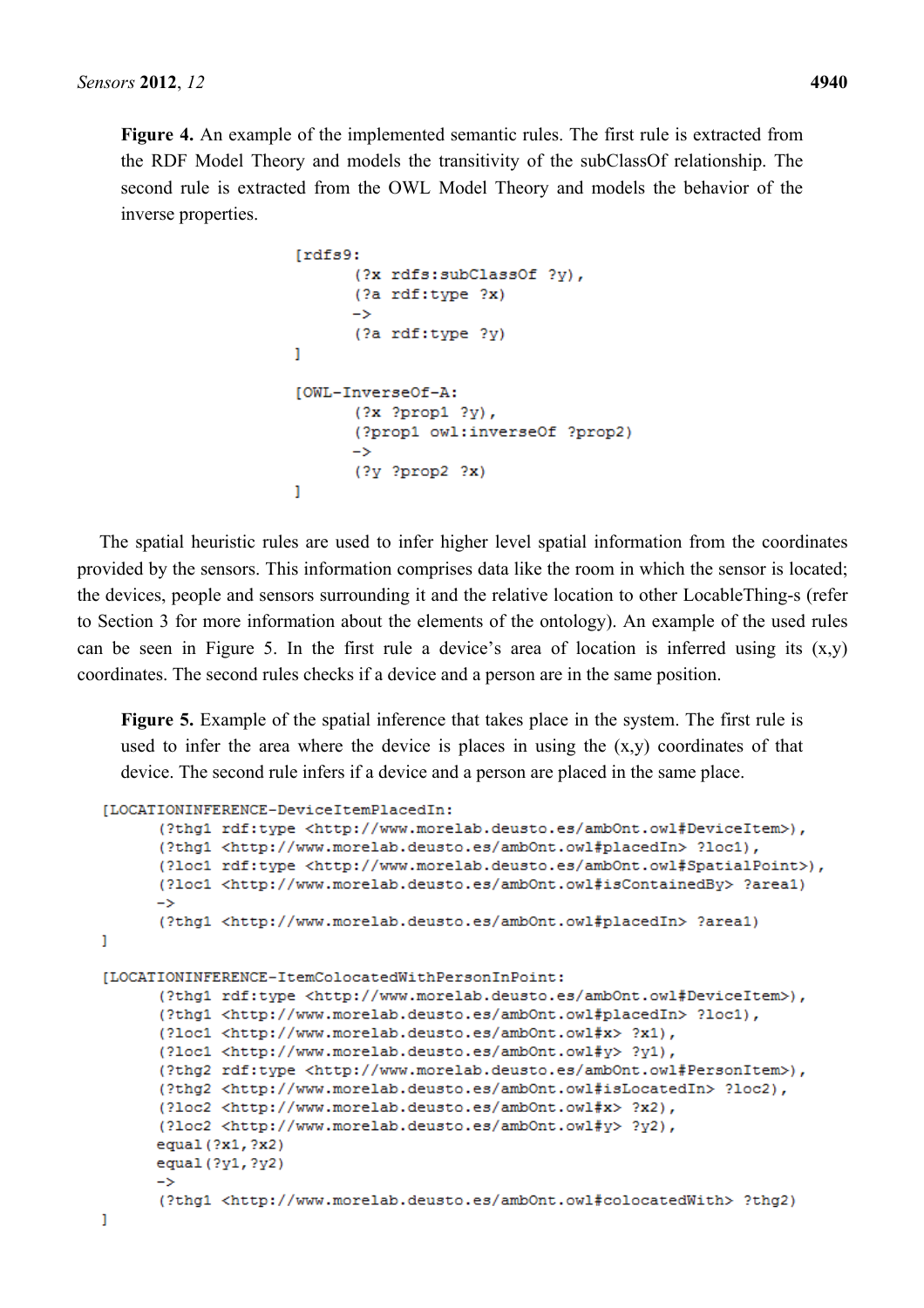**Figure 4.** An example of the implemented semantic rules. The first rule is extracted from the RDF Model Theory and models the transitivity of the subClassOf relationship. The second rule is extracted from the OWL Model Theory and models the behavior of the inverse properties.

```
Irdfs9:
       (?x rdfs:subClassOf ?v),
       (?a rdf:type ?x)
       \rightarrow(?a rdf:type ?y)
ı
[OWL-InverseOf-A:
       (?x ?prop1 ?y),
       (?prop1 owl:inverseOf ?prop2)
       \rightarrow(2y 2prop2 2x)1
```
The spatial heuristic rules are used to infer higher level spatial information from the coordinates provided by the sensors. This information comprises data like the room in which the sensor is located; the devices, people and sensors surrounding it and the relative location to other LocableThing-s (refer to Section 3 for more information about the elements of the ontology). An example of the used rules can be seen in Figure 5. In the first rule a device's area of location is inferred using its  $(x,y)$ coordinates. The second rules checks if a device and a person are in the same position.

**Figure 5.** Example of the spatial inference that takes place in the system. The first rule is used to infer the area where the device is places in using the  $(x,y)$  coordinates of that device. The second rule infers if a device and a person are placed in the same place.

```
[LOCATIONINFERENCE-DeviceItemPlacedIn:
      (?thg1 rdf:tvpe <http://www.morelab.deusto.es/amb0nt.owl#DeviceItem>),
      (?thg1 <http://www.morelab.deusto.es/ambOnt.owl#placedIn> ?loc1),
      (?loc1 rdf:type <http://www.morelab.deusto.es/ambOnt.owl#SpatialPoint>),
      (?loc1 <http://www.morelab.deusto.es/ambOnt.owl#isContainedBy> ?area1)
      \rightarrow(?thg1 <http://www.morelab.deusto.es/ambOnt.owl#placedIn> ?area1)
Ï
[LOCATIONINFERENCE-ItemColocatedWithPersonInPoint:
      (?thq1 rdf:type <http://www.morelab.deusto.es/ambOnt.owl#DeviceItem>),
      (?thg1 <http://www.morelab.deusto.es/ambOnt.owl#placedIn> ?loc1),
      (?loc1 <http://www.morelab.deusto.es/ambOnt.owl#x> ?x1),
      (?loc1 <http://www.morelab.deusto.es/ambOnt.owl#v> ?v1).
      (?thq2 rdf:type <http://www.morelab.deusto.es/ambOnt.owl#PersonItem>),
      (?thg2 <http://www.morelab.deusto.es/ambOnt.owl#isLocatedIn> ?loc2),
      (?loc2 <http://www.morelab.deusto.es/ambOnt.owl#x> ?x2),
      (?loc2 <http://www.morelab.deusto.es/ambOnt.owl#y> ?y2),
      equal (?x1, ?x2)
      equal (?y1, ?y2)
      \rightarrow(?thq1 <http://www.morelab.deusto.es/ambOnt.owl#colocatedWith> ?thq2)
ľ
```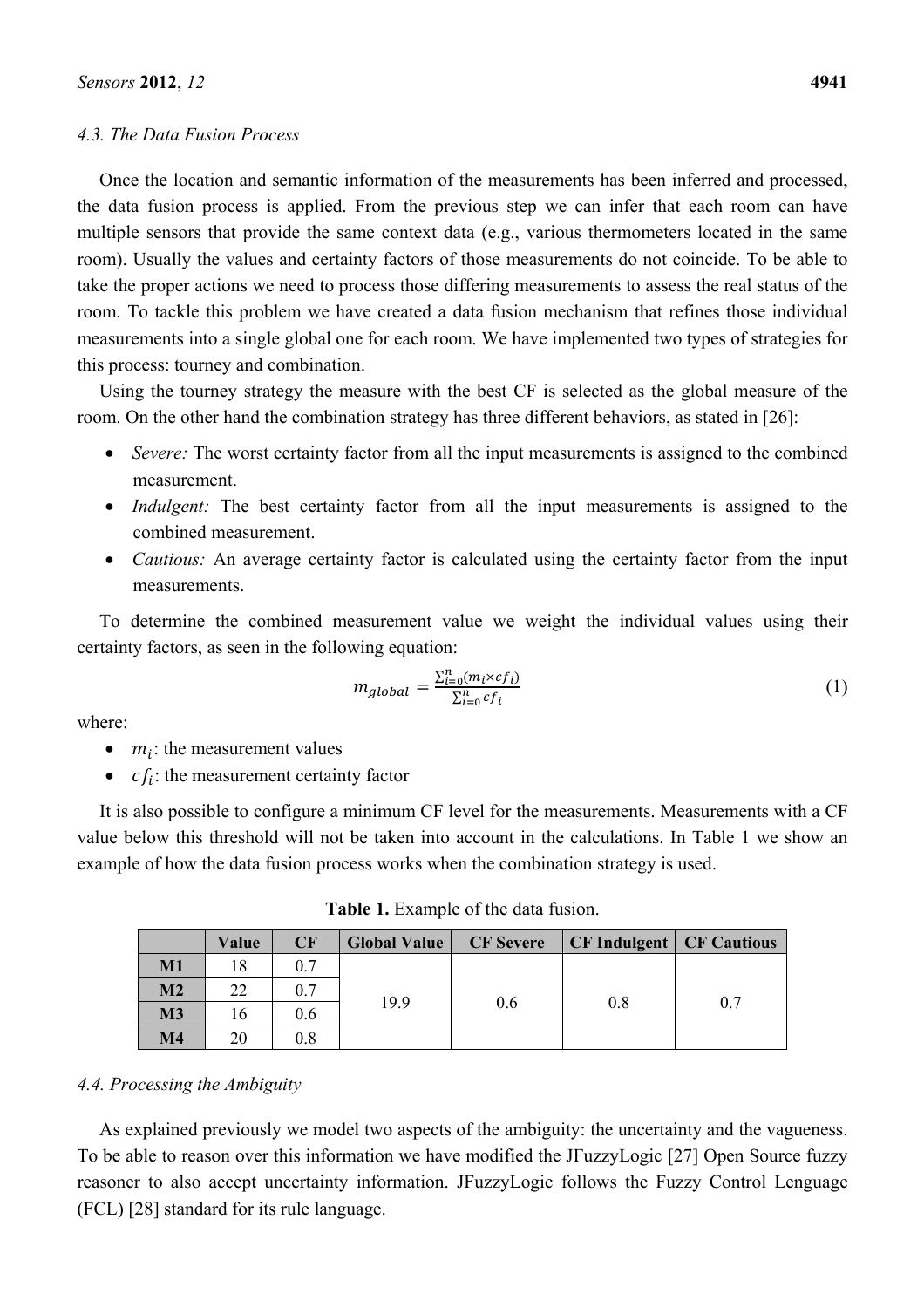### *4.3. The Data Fusion Process*

Once the location and semantic information of the measurements has been inferred and processed, the data fusion process is applied. From the previous step we can infer that each room can have multiple sensors that provide the same context data (e.g., various thermometers located in the same room). Usually the values and certainty factors of those measurements do not coincide. To be able to take the proper actions we need to process those differing measurements to assess the real status of the room. To tackle this problem we have created a data fusion mechanism that refines those individual measurements into a single global one for each room. We have implemented two types of strategies for this process: tourney and combination.

Using the tourney strategy the measure with the best CF is selected as the global measure of the room. On the other hand the combination strategy has three different behaviors, as stated in [26]:

- *Severe:* The worst certainty factor from all the input measurements is assigned to the combined measurement.
- *Indulgent:* The best certainty factor from all the input measurements is assigned to the combined measurement.
- *Cautious:* An average certainty factor is calculated using the certainty factor from the input measurements.

To determine the combined measurement value we weight the individual values using their certainty factors, as seen in the following equation:

$$
m_{global} = \frac{\sum_{i=0}^{n} (m_i \times cf_i)}{\sum_{i=0}^{n} cf_i}
$$
 (1)

where:

- $\bullet$   $m_i$ : the measurement values
- $cf_i$ : the measurement certainty factor

It is also possible to configure a minimum CF level for the measurements. Measurements with a CF value below this threshold will not be taken into account in the calculations. In Table 1 we show an example of how the data fusion process works when the combination strategy is used.

**Table 1.** Example of the data fusion.

|                | Value | <b>CF</b> | <b>Global Value</b> | <b>CF</b> Severe | <b>CF Indulgent   CF Cautious</b> |     |
|----------------|-------|-----------|---------------------|------------------|-----------------------------------|-----|
| $M1$           | 18    | 0.7       |                     | 0.6              | 0.8                               | 0.7 |
| M <sub>2</sub> | 22    | 0.7       |                     |                  |                                   |     |
| M3             |       | 0.6       | 19.9                |                  |                                   |     |
| $\mathbf{M}4$  | 20    | 0.8       |                     |                  |                                   |     |

#### *4.4. Processing the Ambiguity*

As explained previously we model two aspects of the ambiguity: the uncertainty and the vagueness. To be able to reason over this information we have modified the JFuzzyLogic [27] Open Source fuzzy reasoner to also accept uncertainty information. JFuzzyLogic follows the Fuzzy Control Lenguage (FCL) [28] standard for its rule language.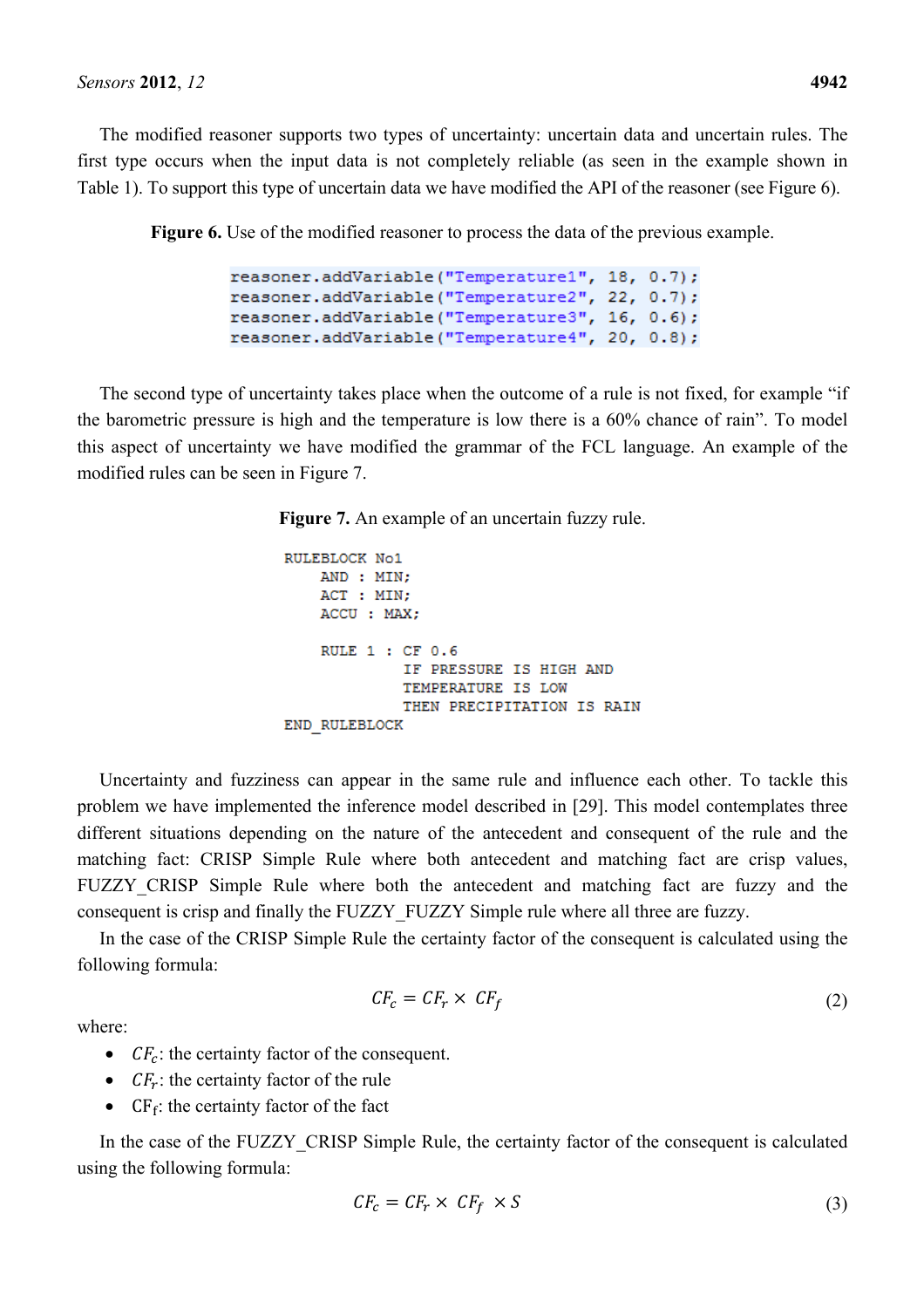The modified reasoner supports two types of uncertainty: uncertain data and uncertain rules. The first type occurs when the input data is not completely reliable (as seen in the example shown in Table 1). To support this type of uncertain data we have modified the API of the reasoner (see Figure 6).

**Figure 6.** Use of the modified reasoner to process the data of the previous example.

```
reasoner.addVariable("Temperature1", 18, 0.7);
reasoner.addVariable("Temperature2", 22, 0.7);
reasoner.addVariable("Temperature3", 16, 0.6);
reasoner.addVariable("Temperature4", 20, 0.8);
```
The second type of uncertainty takes place when the outcome of a rule is not fixed, for example "if the barometric pressure is high and the temperature is low there is a 60% chance of rain". To model this aspect of uncertainty we have modified the grammar of the FCL language. An example of the modified rules can be seen in Figure 7.

**Figure 7.** An example of an uncertain fuzzy rule.

```
RULEBLOCK No1
   AND: MIN:
   ACT: MIN;
   ACCU : MAX;
   RULE 1 : CF 0.6
             IF PRESSURE IS HIGH AND
             TEMPERATURE IS LOW
             THEN PRECIPITATION IS RAIN
END RULEBLOCK
```
Uncertainty and fuzziness can appear in the same rule and influence each other. To tackle this problem we have implemented the inference model described in [29]. This model contemplates three different situations depending on the nature of the antecedent and consequent of the rule and the matching fact: CRISP Simple Rule where both antecedent and matching fact are crisp values, FUZZY CRISP Simple Rule where both the antecedent and matching fact are fuzzy and the consequent is crisp and finally the FUZZY\_FUZZY Simple rule where all three are fuzzy.

In the case of the CRISP Simple Rule the certainty factor of the consequent is calculated using the following formula:

where:

$$
CF_c = CF_r \times CF_f \tag{2}
$$

- $CF<sub>c</sub>$ : the certainty factor of the consequent.
- $CF_r$ : the certainty factor of the rule
- $CF_f$ : the certainty factor of the fact

In the case of the FUZZY CRISP Simple Rule, the certainty factor of the consequent is calculated using the following formula:

$$
CF_c = CF_r \times CF_f \times S \tag{3}
$$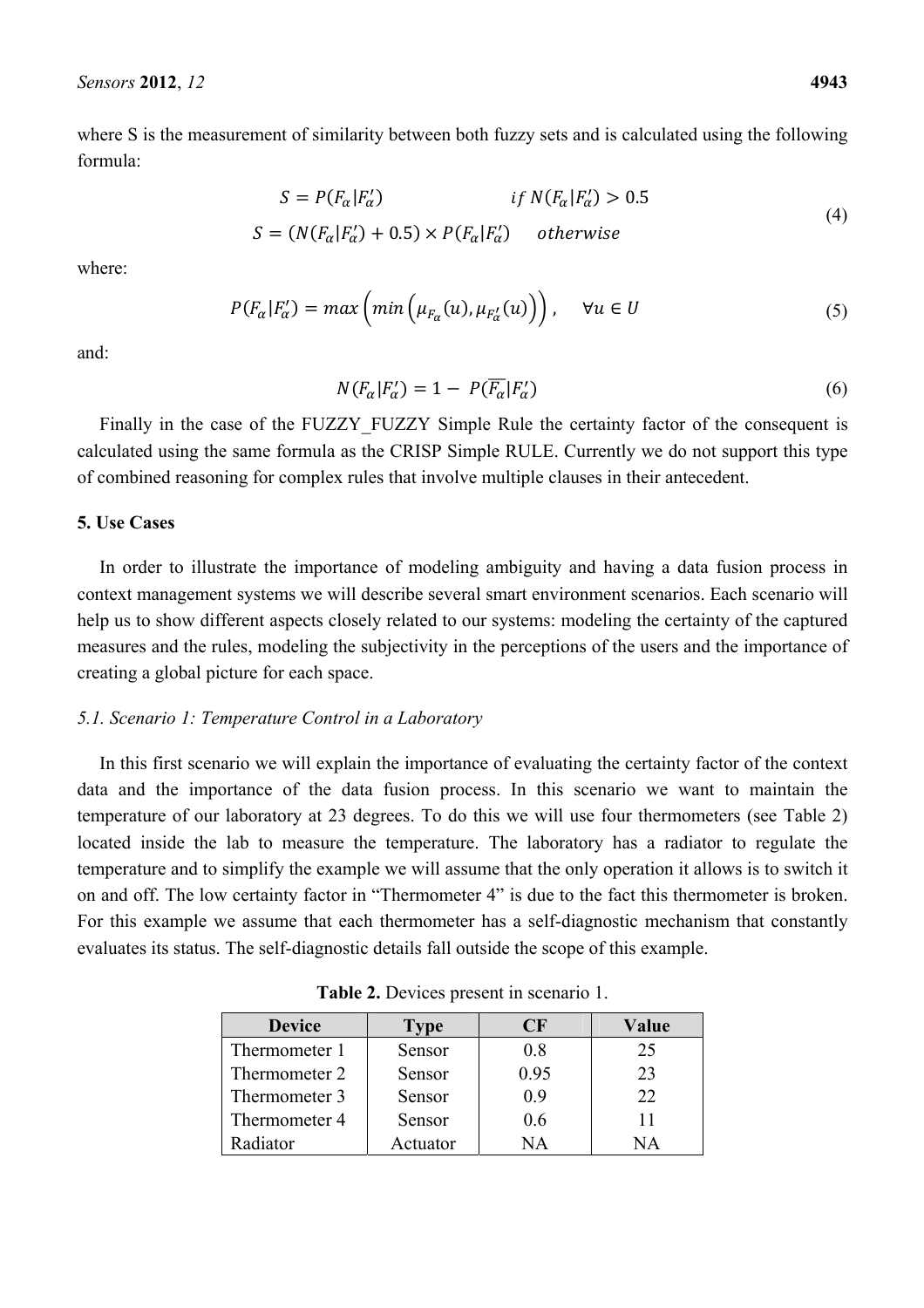where S is the measurement of similarity between both fuzzy sets and is calculated using the following formula:

$$
S = P(F_{\alpha}|F_{\alpha}') \qquad \text{if } N(F_{\alpha}|F_{\alpha}') > 0.5
$$
  

$$
S = (N(F_{\alpha}|F_{\alpha}') + 0.5) \times P(F_{\alpha}|F_{\alpha}') \qquad \text{otherwise}
$$
 (4)

where:

$$
P(F_{\alpha}|F_{\alpha}') = max\left(min\left(\mu_{F_{\alpha}}(u), \mu_{F_{\alpha}'}(u)\right)\right), \quad \forall u \in U
$$
\n<sup>(5)</sup>

and:

$$
N(F_{\alpha}|F_{\alpha}') = 1 - P(\overline{F_{\alpha}}|F_{\alpha}') \tag{6}
$$

Finally in the case of the FUZZY FUZZY Simple Rule the certainty factor of the consequent is calculated using the same formula as the CRISP Simple RULE. Currently we do not support this type of combined reasoning for complex rules that involve multiple clauses in their antecedent.

### **5. Use Cases**

In order to illustrate the importance of modeling ambiguity and having a data fusion process in context management systems we will describe several smart environment scenarios. Each scenario will help us to show different aspects closely related to our systems: modeling the certainty of the captured measures and the rules, modeling the subjectivity in the perceptions of the users and the importance of creating a global picture for each space.

# *5.1. Scenario 1: Temperature Control in a Laboratory*

In this first scenario we will explain the importance of evaluating the certainty factor of the context data and the importance of the data fusion process. In this scenario we want to maintain the temperature of our laboratory at 23 degrees. To do this we will use four thermometers (see Table 2) located inside the lab to measure the temperature. The laboratory has a radiator to regulate the temperature and to simplify the example we will assume that the only operation it allows is to switch it on and off. The low certainty factor in "Thermometer 4" is due to the fact this thermometer is broken. For this example we assume that each thermometer has a self-diagnostic mechanism that constantly evaluates its status. The self-diagnostic details fall outside the scope of this example.

| <b>Device</b> | Type     | OI K | Value        |
|---------------|----------|------|--------------|
| Thermometer 1 | Sensor   | 08   | 25           |
| Thermometer 2 | Sensor   | 0.95 | 23           |
| Thermometer 3 | Sensor   | 09   | 22           |
| Thermometer 4 | Sensor   | 06   |              |
| Radiator      | Actuator | NА   | $\mathbb{A}$ |

**Table 2.** Devices present in scenario 1.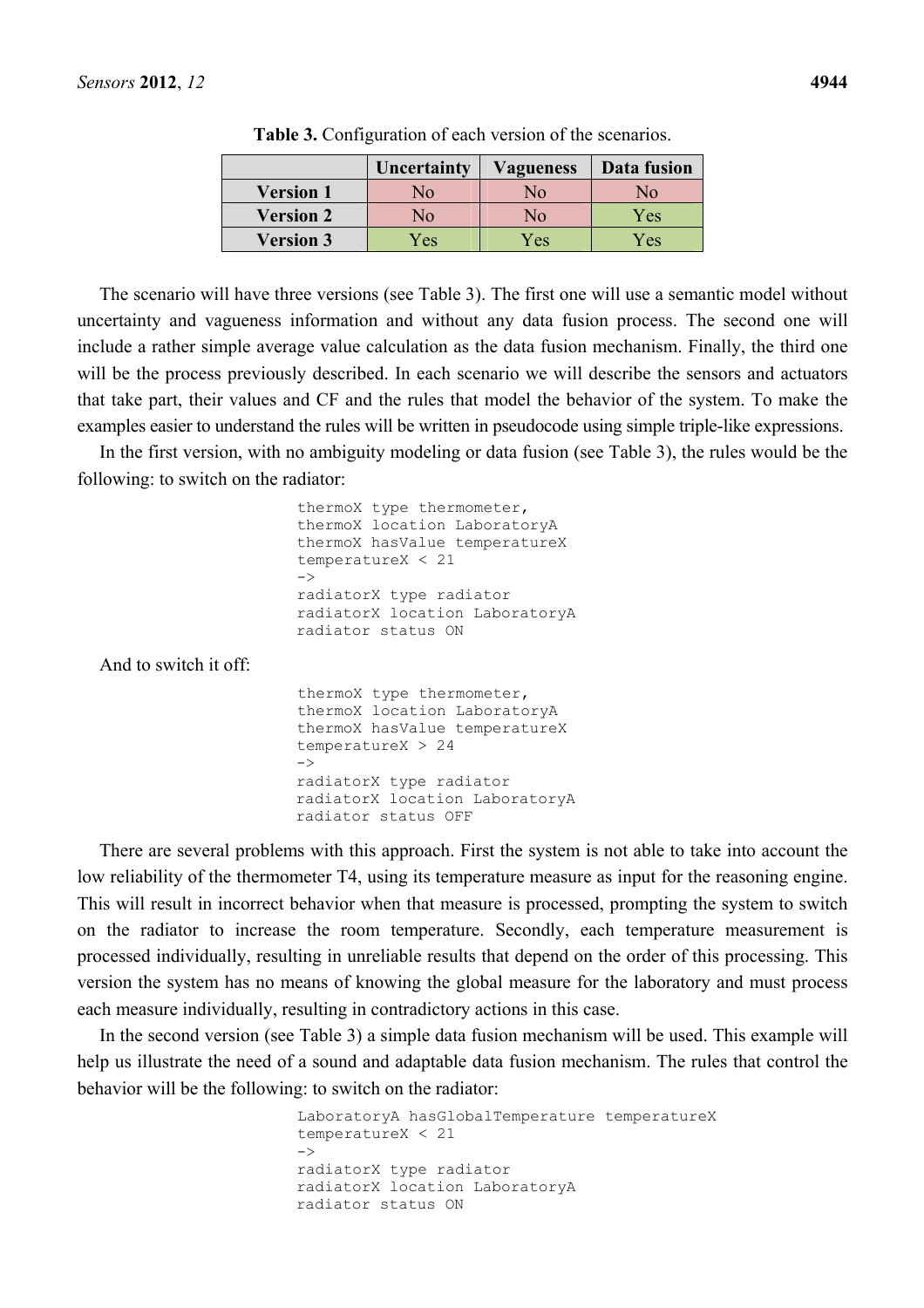|                  | Uncertainty | <b>Vagueness</b> | Data fusion |
|------------------|-------------|------------------|-------------|
| <b>Version 1</b> | No          | Nο               | No          |
| <b>Version 2</b> | No          | Nο               | Yes         |
| <b>Version 3</b> | Yes         | Yes              | Yes         |

**Table 3.** Configuration of each version of the scenarios.

The scenario will have three versions (see Table 3). The first one will use a semantic model without uncertainty and vagueness information and without any data fusion process. The second one will include a rather simple average value calculation as the data fusion mechanism. Finally, the third one will be the process previously described. In each scenario we will describe the sensors and actuators that take part, their values and CF and the rules that model the behavior of the system. To make the examples easier to understand the rules will be written in pseudocode using simple triple-like expressions.

In the first version, with no ambiguity modeling or data fusion (see Table 3), the rules would be the following: to switch on the radiator:

> thermoX type thermometer, thermoX location LaboratoryA thermoX hasValue temperatureX temperatureX < 21  $\rightarrow$ radiatorX type radiator radiatorX location LaboratoryA radiator status ON

And to switch it off:

thermoX type thermometer, thermoX location LaboratoryA thermoX hasValue temperatureX temperatureX > 24  $\rightarrow$ radiatorX type radiator radiatorX location LaboratoryA radiator status OFF

There are several problems with this approach. First the system is not able to take into account the low reliability of the thermometer T4, using its temperature measure as input for the reasoning engine. This will result in incorrect behavior when that measure is processed, prompting the system to switch on the radiator to increase the room temperature. Secondly, each temperature measurement is processed individually, resulting in unreliable results that depend on the order of this processing. This version the system has no means of knowing the global measure for the laboratory and must process each measure individually, resulting in contradictory actions in this case.

In the second version (see Table 3) a simple data fusion mechanism will be used. This example will help us illustrate the need of a sound and adaptable data fusion mechanism. The rules that control the behavior will be the following: to switch on the radiator:

> LaboratoryA hasGlobalTemperature temperatureX temperatureX < 21  $\rightarrow$ radiatorX type radiator radiatorX location LaboratoryA radiator status ON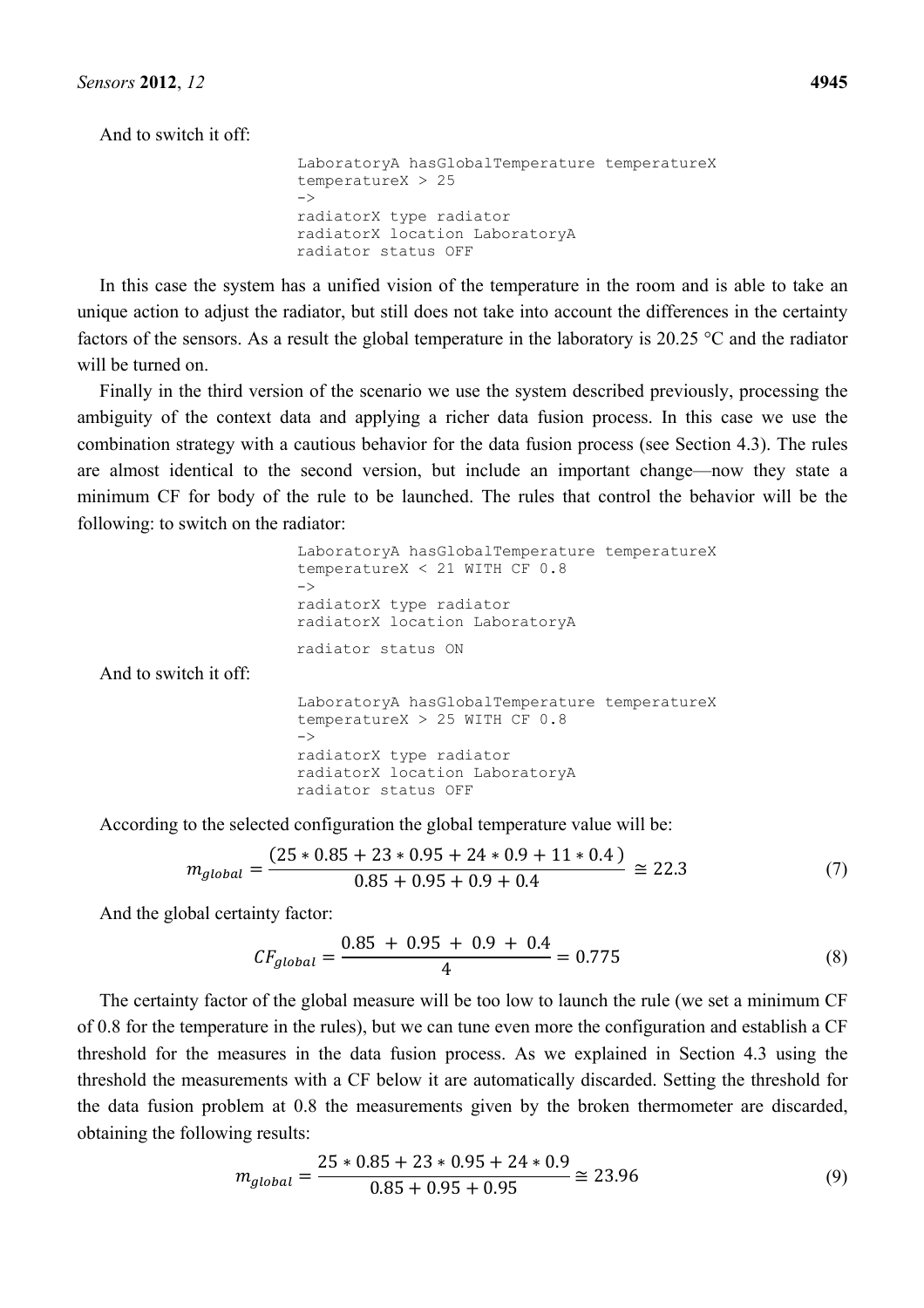And to switch it off:

```
LaboratoryA hasGlobalTemperature temperatureX 
temperatureX > 25 
\rightarrowradiatorX type radiator 
radiatorX location LaboratoryA 
radiator status OFF
```
In this case the system has a unified vision of the temperature in the room and is able to take an unique action to adjust the radiator, but still does not take into account the differences in the certainty factors of the sensors. As a result the global temperature in the laboratory is 20.25 °C and the radiator will be turned on.

Finally in the third version of the scenario we use the system described previously, processing the ambiguity of the context data and applying a richer data fusion process. In this case we use the combination strategy with a cautious behavior for the data fusion process (see Section 4.3). The rules are almost identical to the second version, but include an important change—now they state a minimum CF for body of the rule to be launched. The rules that control the behavior will be the following: to switch on the radiator:

```
LaboratoryA hasGlobalTemperature temperatureX 
                       temperatureX < 21 WITH CF 0.8 
                       \rightarrowradiatorX type radiator 
                       radiatorX location LaboratoryA 
                       radiator status ON 
And to switch it off: 
                       LaboratoryA hasGlobalTemperature temperatureX 
                       temperatureX > 25 WITH CF 0.8 
                       \rightarrowradiatorX type radiator 
                       radiatorX location LaboratoryA 
                       radiator status OFF
```
According to the selected configuration the global temperature value will be:

$$
m_{global} = \frac{(25 * 0.85 + 23 * 0.95 + 24 * 0.9 + 11 * 0.4)}{0.85 + 0.95 + 0.9 + 0.4} \approx 22.3
$$
 (7)

And the global certainty factor:

$$
CF_{global} = \frac{0.85 + 0.95 + 0.9 + 0.4}{4} = 0.775
$$
 (8)

The certainty factor of the global measure will be too low to launch the rule (we set a minimum CF of 0.8 for the temperature in the rules), but we can tune even more the configuration and establish a CF threshold for the measures in the data fusion process. As we explained in Section 4.3 using the threshold the measurements with a CF below it are automatically discarded. Setting the threshold for the data fusion problem at 0.8 the measurements given by the broken thermometer are discarded, obtaining the following results:

$$
m_{global} = \frac{25 * 0.85 + 23 * 0.95 + 24 * 0.9}{0.85 + 0.95 + 0.95} \approx 23.96
$$
\n(9)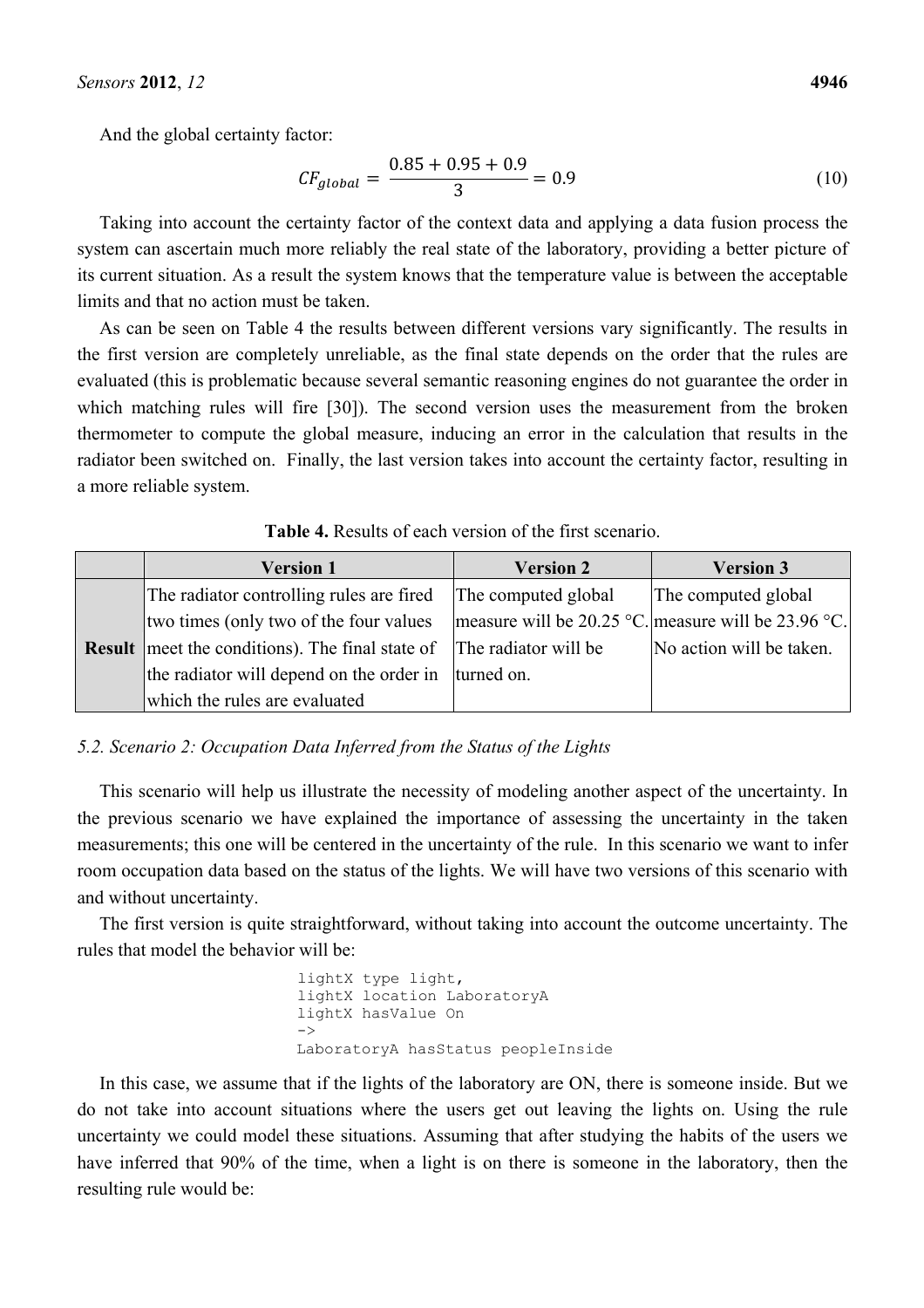And the global certainty factor:

$$
CF_{global} = \frac{0.85 + 0.95 + 0.9}{3} = 0.9
$$
\n(10)

Taking into account the certainty factor of the context data and applying a data fusion process the system can ascertain much more reliably the real state of the laboratory, providing a better picture of its current situation. As a result the system knows that the temperature value is between the acceptable limits and that no action must be taken.

As can be seen on Table 4 the results between different versions vary significantly. The results in the first version are completely unreliable, as the final state depends on the order that the rules are evaluated (this is problematic because several semantic reasoning engines do not guarantee the order in which matching rules will fire [30]). The second version uses the measurement from the broken thermometer to compute the global measure, inducing an error in the calculation that results in the radiator been switched on. Finally, the last version takes into account the certainty factor, resulting in a more reliable system.

| <b>Version 1</b>                                       | <b>Version 2</b>     | <b>Version 3</b>                                    |
|--------------------------------------------------------|----------------------|-----------------------------------------------------|
| The radiator controlling rules are fired               | The computed global  | The computed global                                 |
| two times (only two of the four values)                |                      | measure will be 20.25 °C. measure will be 23.96 °C. |
| <b>Result</b> meet the conditions). The final state of | The radiator will be | No action will be taken.                            |
| the radiator will depend on the order in lturned on.   |                      |                                                     |
| which the rules are evaluated                          |                      |                                                     |

**Table 4.** Results of each version of the first scenario.

# *5.2. Scenario 2: Occupation Data Inferred from the Status of the Lights*

This scenario will help us illustrate the necessity of modeling another aspect of the uncertainty. In the previous scenario we have explained the importance of assessing the uncertainty in the taken measurements; this one will be centered in the uncertainty of the rule. In this scenario we want to infer room occupation data based on the status of the lights. We will have two versions of this scenario with and without uncertainty.

The first version is quite straightforward, without taking into account the outcome uncertainty. The rules that model the behavior will be:

```
lightX type light, 
lightX location LaboratoryA 
lightX hasValue On 
\rightarrowLaboratoryA hasStatus peopleInside
```
In this case, we assume that if the lights of the laboratory are ON, there is someone inside. But we do not take into account situations where the users get out leaving the lights on. Using the rule uncertainty we could model these situations. Assuming that after studying the habits of the users we have inferred that 90% of the time, when a light is on there is someone in the laboratory, then the resulting rule would be: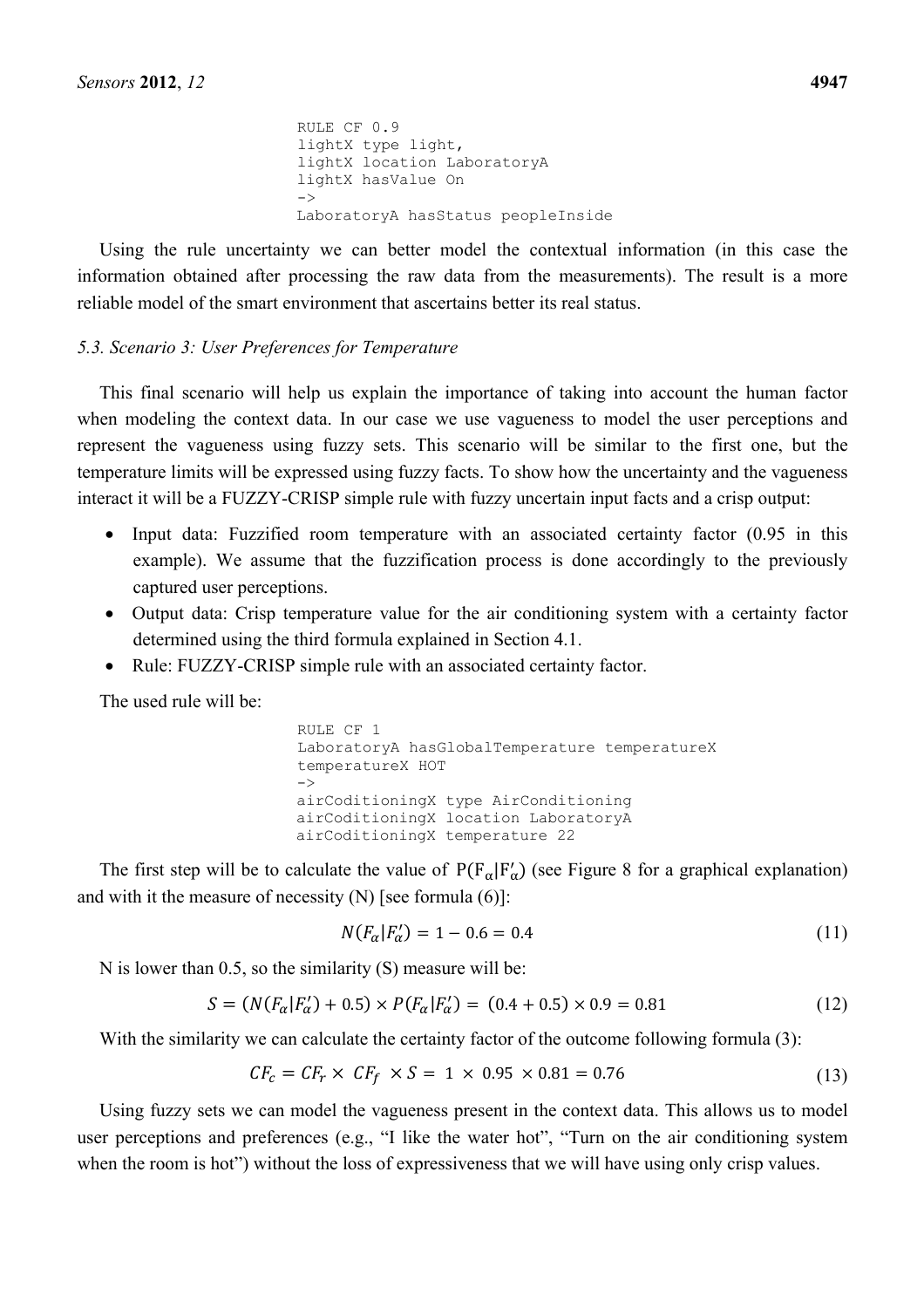RULE CF 0.9 lightX type light, lightX location LaboratoryA lightX hasValue On  $\rightarrow$ LaboratoryA hasStatus peopleInside

Using the rule uncertainty we can better model the contextual information (in this case the information obtained after processing the raw data from the measurements). The result is a more reliable model of the smart environment that ascertains better its real status.

### *5.3. Scenario 3: User Preferences for Temperature*

This final scenario will help us explain the importance of taking into account the human factor when modeling the context data. In our case we use vagueness to model the user perceptions and represent the vagueness using fuzzy sets. This scenario will be similar to the first one, but the temperature limits will be expressed using fuzzy facts. To show how the uncertainty and the vagueness interact it will be a FUZZY-CRISP simple rule with fuzzy uncertain input facts and a crisp output:

- Input data: Fuzzified room temperature with an associated certainty factor (0.95 in this example). We assume that the fuzzification process is done accordingly to the previously captured user perceptions.
- Output data: Crisp temperature value for the air conditioning system with a certainty factor determined using the third formula explained in Section 4.1.
- Rule: FUZZY-CRISP simple rule with an associated certainty factor.

The used rule will be:

RULE CF 1 LaboratoryA hasGlobalTemperature temperatureX temperatureX HOT  $\rightarrow$ airCoditioningX type AirConditioning airCoditioningX location LaboratoryA airCoditioningX temperature 22

The first step will be to calculate the value of  $P(F_{\alpha}|F_{\alpha}')$  (see Figure 8 for a graphical explanation) and with it the measure of necessity  $(N)$  [see formula  $(6)$ ]:

$$
N(F_{\alpha}|F_{\alpha}') = 1 - 0.6 = 0.4 \tag{11}
$$

N is lower than 0.5, so the similarity (S) measure will be:

$$
S = (N(F_{\alpha}|F_{\alpha}') + 0.5) \times P(F_{\alpha}|F_{\alpha}') = (0.4 + 0.5) \times 0.9 = 0.81
$$
\n(12)

With the similarity we can calculate the certainty factor of the outcome following formula (3):

$$
CF_c = CF_r \times CF_f \times S = 1 \times 0.95 \times 0.81 = 0.76
$$
 (13)

Using fuzzy sets we can model the vagueness present in the context data. This allows us to model user perceptions and preferences (e.g., "I like the water hot", "Turn on the air conditioning system when the room is hot") without the loss of expressiveness that we will have using only crisp values.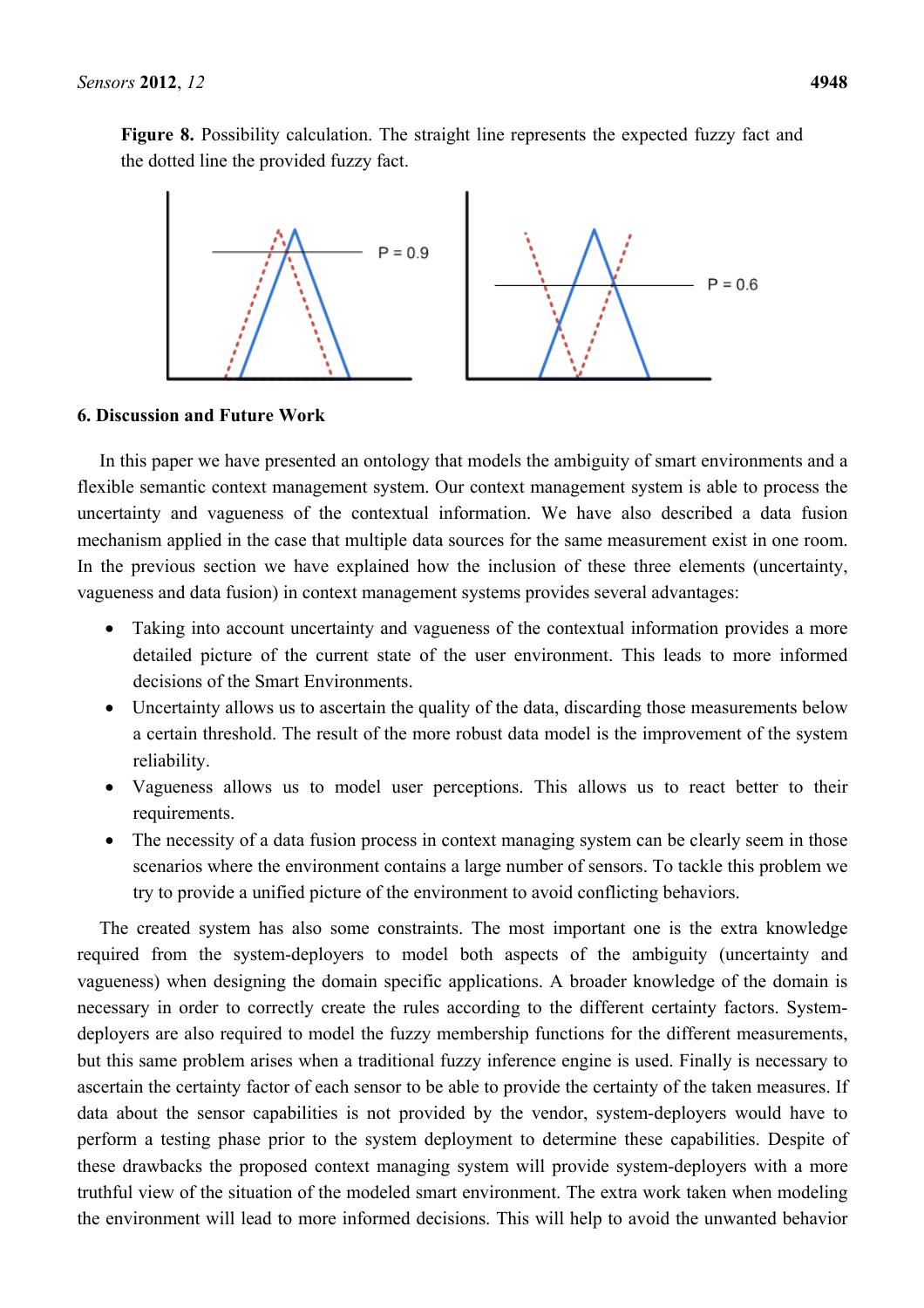Figure 8. Possibility calculation. The straight line represents the expected fuzzy fact and the dotted line the provided fuzzy fact.



#### **6. Discussion and Future Work**

In this paper we have presented an ontology that models the ambiguity of smart environments and a flexible semantic context management system. Our context management system is able to process the uncertainty and vagueness of the contextual information. We have also described a data fusion mechanism applied in the case that multiple data sources for the same measurement exist in one room. In the previous section we have explained how the inclusion of these three elements (uncertainty, vagueness and data fusion) in context management systems provides several advantages:

- Taking into account uncertainty and vagueness of the contextual information provides a more detailed picture of the current state of the user environment. This leads to more informed decisions of the Smart Environments.
- Uncertainty allows us to ascertain the quality of the data, discarding those measurements below a certain threshold. The result of the more robust data model is the improvement of the system reliability.
- Vagueness allows us to model user perceptions. This allows us to react better to their requirements.
- The necessity of a data fusion process in context managing system can be clearly seem in those scenarios where the environment contains a large number of sensors. To tackle this problem we try to provide a unified picture of the environment to avoid conflicting behaviors.

The created system has also some constraints. The most important one is the extra knowledge required from the system-deployers to model both aspects of the ambiguity (uncertainty and vagueness) when designing the domain specific applications. A broader knowledge of the domain is necessary in order to correctly create the rules according to the different certainty factors. Systemdeployers are also required to model the fuzzy membership functions for the different measurements, but this same problem arises when a traditional fuzzy inference engine is used. Finally is necessary to ascertain the certainty factor of each sensor to be able to provide the certainty of the taken measures. If data about the sensor capabilities is not provided by the vendor, system-deployers would have to perform a testing phase prior to the system deployment to determine these capabilities. Despite of these drawbacks the proposed context managing system will provide system-deployers with a more truthful view of the situation of the modeled smart environment. The extra work taken when modeling the environment will lead to more informed decisions. This will help to avoid the unwanted behavior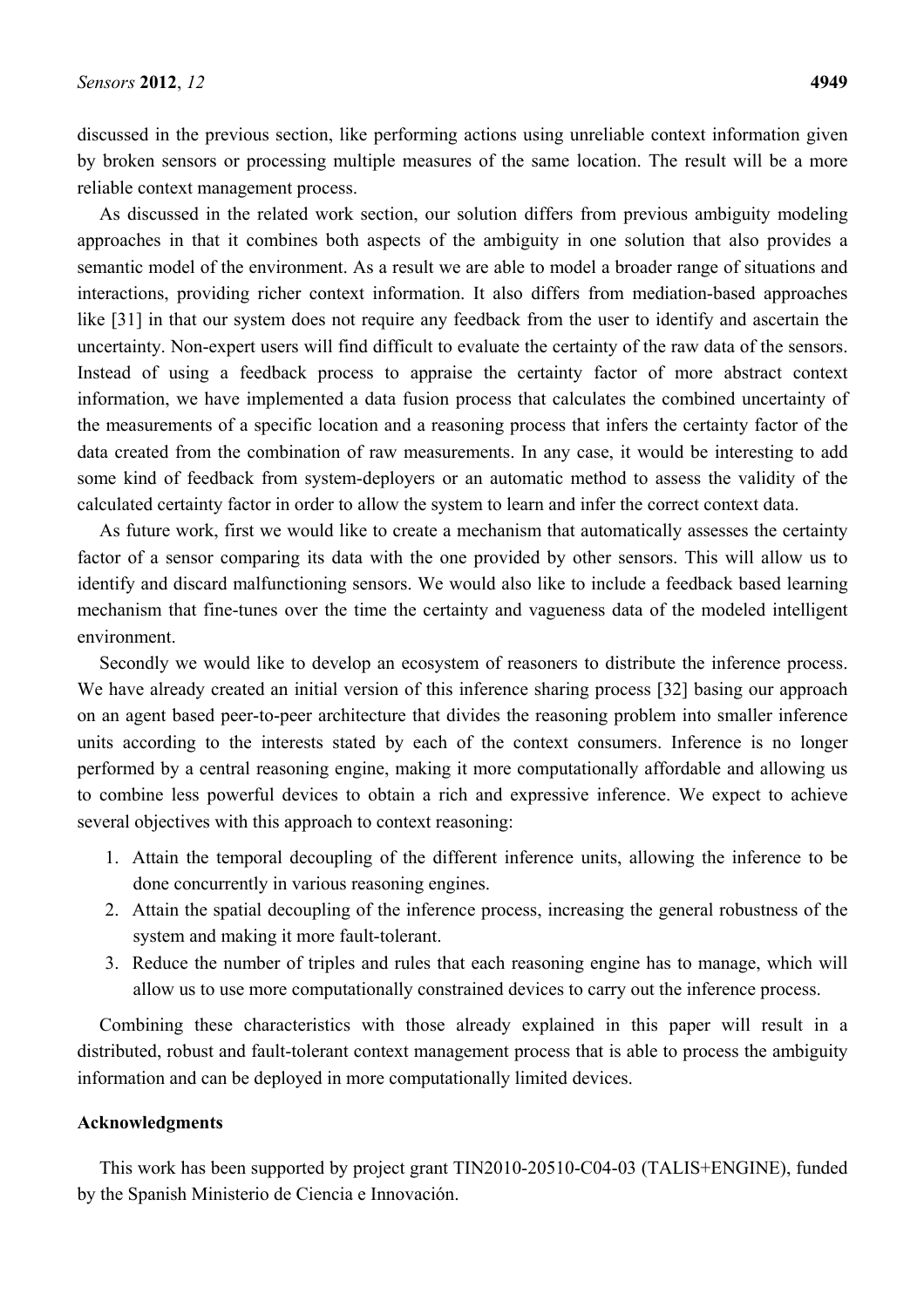discussed in the previous section, like performing actions using unreliable context information given by broken sensors or processing multiple measures of the same location. The result will be a more reliable context management process.

As discussed in the related work section, our solution differs from previous ambiguity modeling approaches in that it combines both aspects of the ambiguity in one solution that also provides a semantic model of the environment. As a result we are able to model a broader range of situations and interactions, providing richer context information. It also differs from mediation-based approaches like [31] in that our system does not require any feedback from the user to identify and ascertain the uncertainty. Non-expert users will find difficult to evaluate the certainty of the raw data of the sensors. Instead of using a feedback process to appraise the certainty factor of more abstract context information, we have implemented a data fusion process that calculates the combined uncertainty of the measurements of a specific location and a reasoning process that infers the certainty factor of the data created from the combination of raw measurements. In any case, it would be interesting to add some kind of feedback from system-deployers or an automatic method to assess the validity of the calculated certainty factor in order to allow the system to learn and infer the correct context data.

As future work, first we would like to create a mechanism that automatically assesses the certainty factor of a sensor comparing its data with the one provided by other sensors. This will allow us to identify and discard malfunctioning sensors. We would also like to include a feedback based learning mechanism that fine-tunes over the time the certainty and vagueness data of the modeled intelligent environment.

Secondly we would like to develop an ecosystem of reasoners to distribute the inference process. We have already created an initial version of this inference sharing process [32] basing our approach on an agent based peer-to-peer architecture that divides the reasoning problem into smaller inference units according to the interests stated by each of the context consumers. Inference is no longer performed by a central reasoning engine, making it more computationally affordable and allowing us to combine less powerful devices to obtain a rich and expressive inference. We expect to achieve several objectives with this approach to context reasoning:

- 1. Attain the temporal decoupling of the different inference units, allowing the inference to be done concurrently in various reasoning engines.
- 2. Attain the spatial decoupling of the inference process, increasing the general robustness of the system and making it more fault-tolerant.
- 3. Reduce the number of triples and rules that each reasoning engine has to manage, which will allow us to use more computationally constrained devices to carry out the inference process.

Combining these characteristics with those already explained in this paper will result in a distributed, robust and fault-tolerant context management process that is able to process the ambiguity information and can be deployed in more computationally limited devices.

#### **Acknowledgments**

This work has been supported by project grant TIN2010-20510-C04-03 (TALIS+ENGINE), funded by the Spanish Ministerio de Ciencia e Innovación.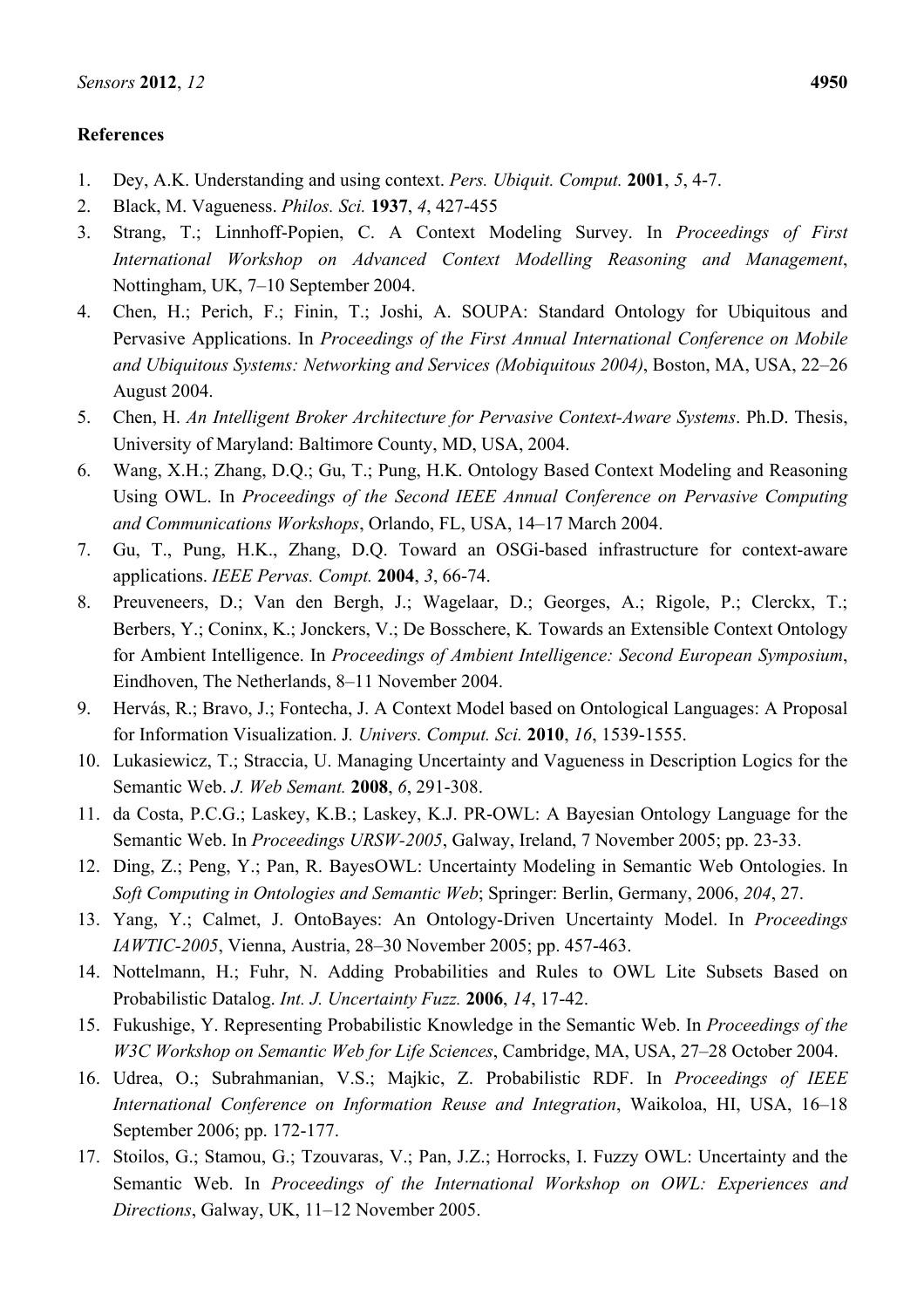# **References**

- 1. Dey, A.K. Understanding and using context. *Pers. Ubiquit. Comput.* **2001**, *5*, 4-7.
- 2. Black, M. Vagueness. *Philos. Sci.* **1937**, *4*, 427-455
- 3. Strang, T.; Linnhoff-Popien, C. A Context Modeling Survey. In *Proceedings of First International Workshop on Advanced Context Modelling Reasoning and Management*, Nottingham, UK, 7–10 September 2004.
- 4. Chen, H.; Perich, F.; Finin, T.; Joshi, A. SOUPA: Standard Ontology for Ubiquitous and Pervasive Applications. In *Proceedings of the First Annual International Conference on Mobile and Ubiquitous Systems: Networking and Services (Mobiquitous 2004)*, Boston, MA, USA, 22–26 August 2004.
- 5. Chen, H. *An Intelligent Broker Architecture for Pervasive Context-Aware Systems*. Ph.D. Thesis, University of Maryland: Baltimore County, MD, USA, 2004.
- 6. Wang, X.H.; Zhang, D.Q.; Gu, T.; Pung, H.K. Ontology Based Context Modeling and Reasoning Using OWL. In *Proceedings of the Second IEEE Annual Conference on Pervasive Computing and Communications Workshops*, Orlando, FL, USA, 14–17 March 2004.
- 7. Gu, T., Pung, H.K., Zhang, D.Q. Toward an OSGi-based infrastructure for context-aware applications. *IEEE Pervas. Compt.* **2004**, *3*, 66-74.
- 8. Preuveneers, D.; Van den Bergh, J.; Wagelaar, D.; Georges, A.; Rigole, P.; Clerckx, T.; Berbers, Y.; Coninx, K.; Jonckers, V.; De Bosschere, K*.* Towards an Extensible Context Ontology for Ambient Intelligence. In *Proceedings of Ambient Intelligence: Second European Symposium*, Eindhoven, The Netherlands, 8–11 November 2004.
- 9. Hervás, R.; Bravo, J.; Fontecha, J. A Context Model based on Ontological Languages: A Proposal for Information Visualization. J*. Univers. Comput. Sci.* **2010**, *16*, 1539-1555.
- 10. Lukasiewicz, T.; Straccia, U. Managing Uncertainty and Vagueness in Description Logics for the Semantic Web. *J. Web Semant.* **2008**, *6*, 291-308.
- 11. da Costa, P.C.G.; Laskey, K.B.; Laskey, K.J. PR-OWL: A Bayesian Ontology Language for the Semantic Web. In *Proceedings URSW-2005*, Galway, Ireland, 7 November 2005; pp. 23-33.
- 12. Ding, Z.; Peng, Y.; Pan, R. BayesOWL: Uncertainty Modeling in Semantic Web Ontologies. In *Soft Computing in Ontologies and Semantic Web*; Springer: Berlin, Germany, 2006, *204*, 27.
- 13. Yang, Y.; Calmet, J. OntoBayes: An Ontology-Driven Uncertainty Model. In *Proceedings IAWTIC-2005*, Vienna, Austria, 28–30 November 2005; pp. 457-463.
- 14. Nottelmann, H.; Fuhr, N. Adding Probabilities and Rules to OWL Lite Subsets Based on Probabilistic Datalog. *Int. J. Uncertainty Fuzz.* **2006**, *14*, 17-42.
- 15. Fukushige, Y. Representing Probabilistic Knowledge in the Semantic Web. In *Proceedings of the W3C Workshop on Semantic Web for Life Sciences*, Cambridge, MA, USA, 27–28 October 2004.
- 16. Udrea, O.; Subrahmanian, V.S.; Majkic, Z. Probabilistic RDF. In *Proceedings of IEEE International Conference on Information Reuse and Integration*, Waikoloa, HI, USA, 16–18 September 2006; pp. 172-177.
- 17. Stoilos, G.; Stamou, G.; Tzouvaras, V.; Pan, J.Z.; Horrocks, I. Fuzzy OWL: Uncertainty and the Semantic Web. In *Proceedings of the International Workshop on OWL: Experiences and Directions*, Galway, UK, 11–12 November 2005.